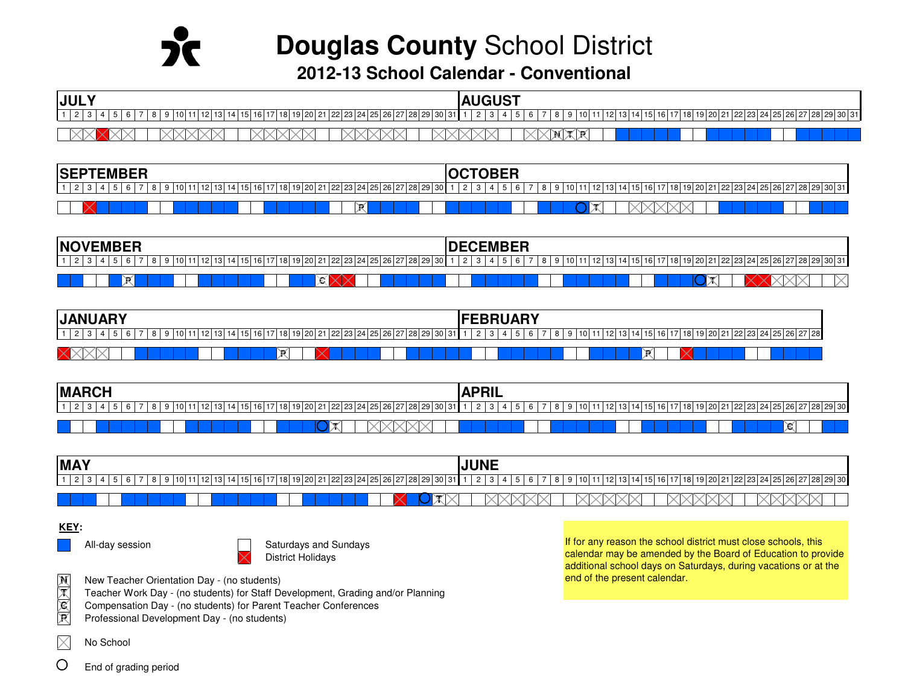

**Douglas County** School District

**2012-13 School Calendar - Conventional**

| <b>JULY</b>                                                                                    | <b>AUGUST</b>                                                                         |
|------------------------------------------------------------------------------------------------|---------------------------------------------------------------------------------------|
| 11<br>24 25 26 27<br>13 <sub>l</sub><br>19 20 21<br><u>າ 23 L</u><br>  28   29   30   31<br>14 | 128 29 30 31<br>$19$ 20 $2^{\circ}$<br>18<br>1411:<br>-22 23 24 25 26 27<br>13<br>121 |
|                                                                                                |                                                                                       |

| <b>SEPTEMBER</b><br><b>=MBER</b>                                   | ^T^ <u>nrr</u><br>.JBEF                                                                                          |
|--------------------------------------------------------------------|------------------------------------------------------------------------------------------------------------------|
| 19 20<br>1   21   22   23   24   25   26   27<br>18<br>אט<br>12020 | ' 28 29<br>303 <sup>3</sup><br>161<br>18<br>یں می<br><b>DA</b><br>3124125126127<br>151<br>13 LU L I<br>ັບ<br>ں ا |
| R.                                                                 |                                                                                                                  |

| <b>NOVEMBER</b>                                                                                                                 | <b>IDECEMBER</b>                                                                                                     |
|---------------------------------------------------------------------------------------------------------------------------------|----------------------------------------------------------------------------------------------------------------------|
| 4 25 26 27 28 29<br>10 <sup>1</sup><br>14<br>12 <sup>1</sup><br>18 <sup>1</sup><br>1   22   23   24   25<br>19 20 21<br>്<br>L. | 1   22   23   24   25   26   27   28   29   30   31  <br>110.<br>16<br>I 6<br>l 8<br>.<br>19 20 21<br>14<br>╶<br>ن ا |
| ЖI<br>Ж                                                                                                                         | $\mathbb X$<br>$\sim$                                                                                                |

| <b>JANUARY</b><br>יורשו           | <b>EBRUARY</b>                                             |
|-----------------------------------|------------------------------------------------------------|
| 30 I<br>22123124'<br>אפ<br>-26-2. | 7 28<br>22 23 24 25 26 2<br>18 I<br>19120121<br>141<br>161 |
| ₩<br>$\propto$<br>. .             | Ж                                                          |

| <b>IMARCH</b>                                         | <b>ADDI</b><br>nı                                                                |
|-------------------------------------------------------|----------------------------------------------------------------------------------|
| :71281<br>121<br>  22 23 24 25 26 27<br>19120z<br>301 | 121   22   23   24   25   26   27   28   29   30  <br> 18 <br>10 I<br>120<br>Ib. |
|                                                       | Ж                                                                                |

| <b>IMAY</b>                                             | $\blacksquare$ $\blacksquare$ $\blacksquare$<br>'INL |
|---------------------------------------------------------|------------------------------------------------------|
| 101<br>22 23 24 3<br>10 I<br>7191<br>19 20 21<br>8 29 1 | 28 29 30<br>22 23 24<br>-25.26.<br>-<br>141<br>1011  |
|                                                         |                                                      |

### **KEY:**

All-day session Saturdays and Sundays  $\overline{\mathsf{S}}$  Saturdays and Sundays District Holidays



If for any reason the school district must close schools, this calendar may be amended by the Board of Education to provide additional school days on Saturdays, during vacations or at the end of the present calendar.

**N**New Teacher Orientation Day - (no students)

- **T**Teacher Work Day - (no students) for Staff Development, Grading and/or Planning
- **C**Compensation Day - (no students) for Parent Teacher Conferences
- **P**Professional Development Day - (no students)

 $\times$ No School

O End of grading period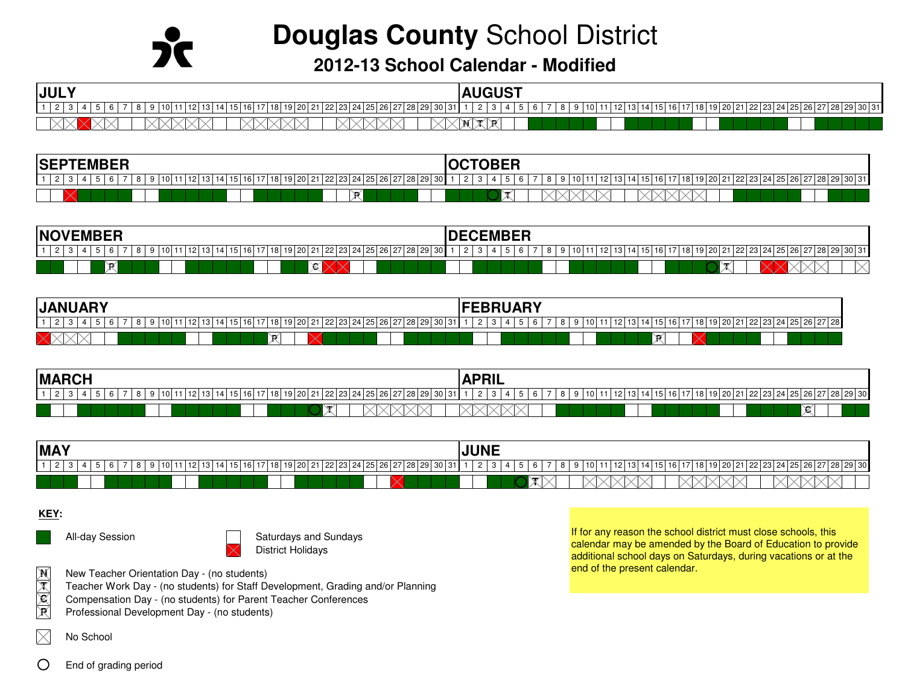# **Douglas County** School District

**2012-13 School Calendar - Modified**

| <b>JULY</b>                                                                   | <b>AUGUST</b>                                |
|-------------------------------------------------------------------------------|----------------------------------------------|
| 30<br>l 18<br>ז הח<br>$\sim$<br>$\overline{ }$<br>10<br>JI 20 I ZI L<br>-28 Z | $22$ 23 24<br> 30 3<br>15<br>b<br>∠ວ<br>20Z' |
| $\sim$<br>$\sim$                                                              | _____<br>я<br>M.                             |

| <b>SEP</b><br><b>TEMBER</b>                                                                               | T<br>м                                                                                                                    |
|-----------------------------------------------------------------------------------------------------------|---------------------------------------------------------------------------------------------------------------------------|
| $12$ 13<br>$\rightarrow$<br>19 20 21<br>7 18<br>i   22   23   24   25   26   27   28   29   30  <br>15116 | 10 <sup>1</sup><br>' 19   20   21   22   23   24   25   26   27   28   29   30   31  <br>  18<br>14 I<br>6<br>ೆರ<br>-15 1 |
| $\times$                                                                                                  |                                                                                                                           |

| ------<br>INO'<br>EMBEH                                      | <u>'Armorn</u><br>-MK.<br>IVCVCMDCN              |
|--------------------------------------------------------------|--------------------------------------------------|
| 71281291301<br>1 ( ) I<br>l 12 I<br>22 23 24 25 26 27<br>د ۱ | 191'<br>. 28 29 30 31<br>LZO 1<br>23124125126127 |
| Ж<br>Ж                                                       |                                                  |

| <b>ANUARY</b><br>IUAN                                      | .<br>Eddii a dv<br>'rebruar)                                  |
|------------------------------------------------------------|---------------------------------------------------------------|
| 10 I 20<br>$\sim$<br>30<br>$\overline{2}$<br>- 0<br>ہے ہے۔ | 7 28<br>125126127<br>120121<br>ンン<br>10<br>122 23 24 I<br>10. |
| ₩                                                          | r                                                             |

| <b>MARCH</b>                                      | <b>ADRI</b><br>nıl<br>$\sqrt{ }$    |
|---------------------------------------------------|-------------------------------------|
| 10120121<br>.7 28 2<br>1011<br>18<br>22.23<br>161 | 128 29 30<br>22 23 24 25 26 27<br>. |
|                                                   | ≫<br>- 202                          |

| <b>MAY</b>                                                                    | UIVL                                                                                           |
|-------------------------------------------------------------------------------|------------------------------------------------------------------------------------------------|
| l 1<br>ี 16 เ<br>23124125126127<br>15 I<br>-20121<br>28 L<br>ツロー<br>.<br>-300 | $26 \overline{27}$<br>  22   23   24   25 .<br>29 30<br><b>15</b><br>クユー<br>In<br>- 0<br>ا ت ا |
|                                                                               | $\sim$<br>$\rightarrow$                                                                        |

#### **KEY:**

**N**

**T**

**C**

**P**

 $\bigcirc$ 





All-day Session Saturdays and Sundays District Holidays

- New Teacher Orientation Day (no students)
- Teacher Work Day (no students) for Staff Development, Grading and/or Planning
- Compensation Day (no students) for Parent Teacher Conferences
- Professional Development Day (no students)

If for any reason the school district must close schools, this calendar may be amended by the Board of Education to provide additional school days on Saturdays, during vacations or at the end of the present calendar.

- $\times$ No School
	- End of grading period